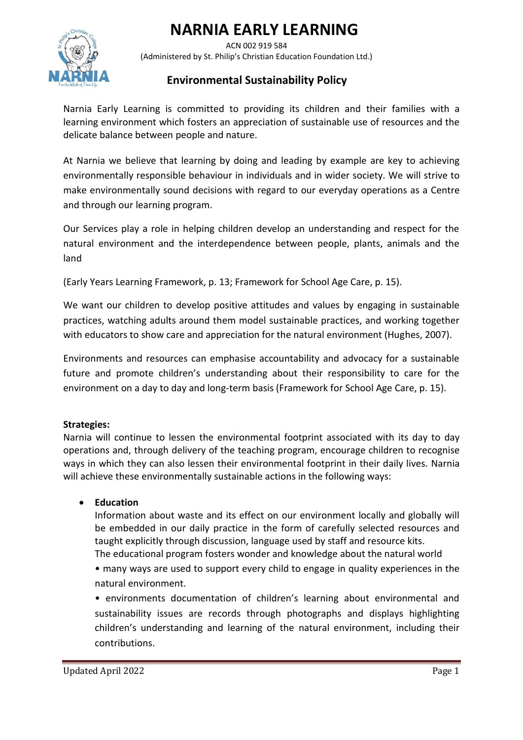# **NARNIA EARLY LEARNING**



 ACN 002 919 584 (Administered by St. Philip's Christian Education Foundation Ltd.)

## **Environmental Sustainability Policy**

Narnia Early Learning is committed to providing its children and their families with a learning environment which fosters an appreciation of sustainable use of resources and the delicate balance between people and nature.

At Narnia we believe that learning by doing and leading by example are key to achieving environmentally responsible behaviour in individuals and in wider society. We will strive to make environmentally sound decisions with regard to our everyday operations as a Centre and through our learning program.

Our Services play a role in helping children develop an understanding and respect for the natural environment and the interdependence between people, plants, animals and the land

(Early Years Learning Framework, p. 13; Framework for School Age Care, p. 15).

We want our children to develop positive attitudes and values by engaging in sustainable practices, watching adults around them model sustainable practices, and working together with educators to show care and appreciation for the natural environment (Hughes, 2007).

Environments and resources can emphasise accountability and advocacy for a sustainable future and promote children's understanding about their responsibility to care for the environment on a day to day and long-term basis (Framework for School Age Care, p. 15).

## **Strategies:**

Narnia will continue to lessen the environmental footprint associated with its day to day operations and, through delivery of the teaching program, encourage children to recognise ways in which they can also lessen their environmental footprint in their daily lives. Narnia will achieve these environmentally sustainable actions in the following ways:

## • **Education**

Information about waste and its effect on our environment locally and globally will be embedded in our daily practice in the form of carefully selected resources and taught explicitly through discussion, language used by staff and resource kits.

The educational program fosters wonder and knowledge about the natural world

• many ways are used to support every child to engage in quality experiences in the natural environment.

• environments documentation of children's learning about environmental and sustainability issues are records through photographs and displays highlighting children's understanding and learning of the natural environment, including their contributions.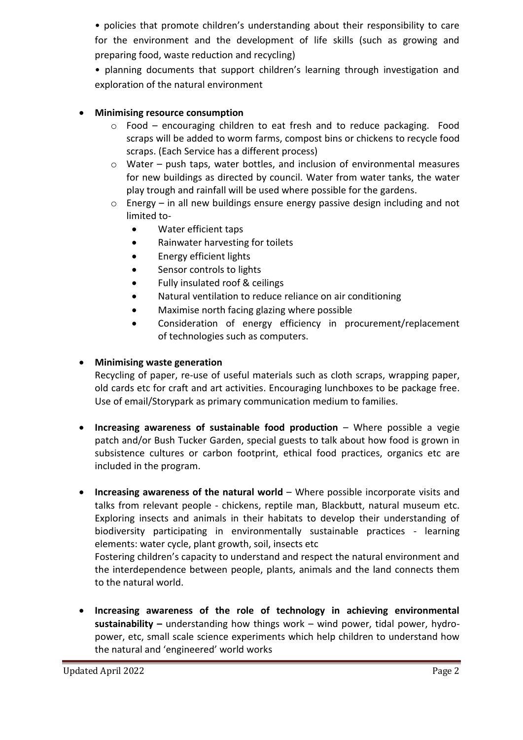• policies that promote children's understanding about their responsibility to care for the environment and the development of life skills (such as growing and preparing food, waste reduction and recycling)

• planning documents that support children's learning through investigation and exploration of the natural environment

## • **Minimising resource consumption**

- $\circ$  Food encouraging children to eat fresh and to reduce packaging. Food scraps will be added to worm farms, compost bins or chickens to recycle food scraps. (Each Service has a different process)
- $\circ$  Water push taps, water bottles, and inclusion of environmental measures for new buildings as directed by council. Water from water tanks, the water play trough and rainfall will be used where possible for the gardens.
- $\circ$  Energy in all new buildings ensure energy passive design including and not limited to-
	- Water efficient taps
	- Rainwater harvesting for toilets
	- Energy efficient lights
	- Sensor controls to lights
	- Fully insulated roof & ceilings
	- Natural ventilation to reduce reliance on air conditioning
	- Maximise north facing glazing where possible
	- Consideration of energy efficiency in procurement/replacement of technologies such as computers.

## • **Minimising waste generation**

Recycling of paper, re-use of useful materials such as cloth scraps, wrapping paper, old cards etc for craft and art activities. Encouraging lunchboxes to be package free. Use of email/Storypark as primary communication medium to families.

- **Increasing awareness of sustainable food production** Where possible a vegie patch and/or Bush Tucker Garden, special guests to talk about how food is grown in subsistence cultures or carbon footprint, ethical food practices, organics etc are included in the program.
- **Increasing awareness of the natural world** Where possible incorporate visits and talks from relevant people - chickens, reptile man, Blackbutt, natural museum etc. Exploring insects and animals in their habitats to develop their understanding of biodiversity participating in environmentally sustainable practices - learning elements: water cycle, plant growth, soil, insects etc

Fostering children's capacity to understand and respect the natural environment and the interdependence between people, plants, animals and the land connects them to the natural world.

• **Increasing awareness of the role of technology in achieving environmental sustainability –** understanding how things work – wind power, tidal power, hydropower, etc, small scale science experiments which help children to understand how the natural and 'engineered' world works